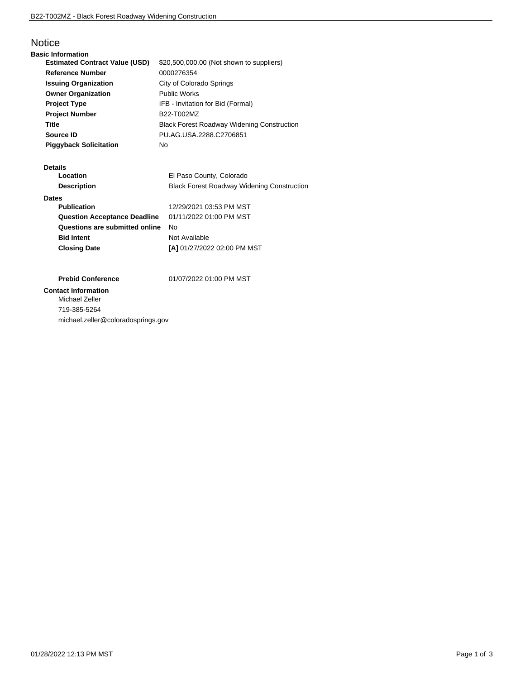# **Notice**

| <b>Basic Information</b>              |                                                   |
|---------------------------------------|---------------------------------------------------|
| <b>Estimated Contract Value (USD)</b> | \$20,500,000.00 (Not shown to suppliers)          |
| <b>Reference Number</b>               | 0000276354                                        |
| <b>Issuing Organization</b>           | City of Colorado Springs                          |
| <b>Owner Organization</b>             | <b>Public Works</b>                               |
| <b>Project Type</b>                   | IFB - Invitation for Bid (Formal)                 |
| <b>Project Number</b>                 | B22-T002MZ                                        |
| Title                                 | <b>Black Forest Roadway Widening Construction</b> |
| Source ID                             | PU.AG.USA.2288.C2706851                           |
| <b>Piggyback Solicitation</b>         | No                                                |

#### **Details**

| Location                            | El Paso County, Colorado                          |
|-------------------------------------|---------------------------------------------------|
| <b>Description</b>                  | <b>Black Forest Roadway Widening Construction</b> |
| <b>Dates</b>                        |                                                   |
| <b>Publication</b>                  | 12/29/2021 03:53 PM MST                           |
| <b>Question Acceptance Deadline</b> | 01/11/2022 01:00 PM MST                           |
| Questions are submitted online      | No                                                |
| <b>Bid Intent</b>                   | Not Available                                     |
| <b>Closing Date</b>                 | [A] 01/27/2022 02:00 PM MST                       |

**Prebid Conference** 01/07/2022 01:00 PM MST

## **Contact Information**

Michael Zeller 719-385-5264 michael.zeller@coloradosprings.gov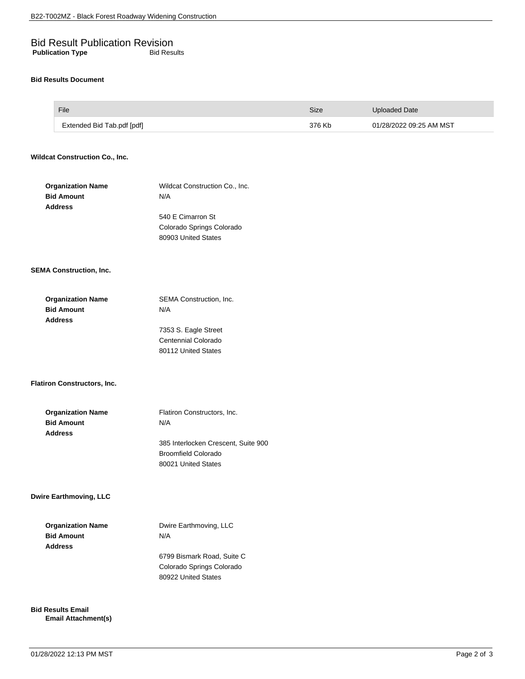# Bid Result Publication Revision **Publication Type** Bid Results

#### **Bid Results Document**

| File                       | Size   | Uploaded Date           |
|----------------------------|--------|-------------------------|
| Extended Bid Tab.pdf [pdf] | 376 Kb | 01/28/2022 09:25 AM MST |

## **Wildcat Construction Co., Inc.**

| <b>Organization Name</b><br><b>Bid Amount</b><br><b>Address</b> | Wildcat Construction Co., Inc.<br>N/A<br>540 E Cimarron St<br>Colorado Springs Colorado<br>80903 United States                 |
|-----------------------------------------------------------------|--------------------------------------------------------------------------------------------------------------------------------|
| <b>SEMA Construction, Inc.</b>                                  |                                                                                                                                |
| <b>Organization Name</b><br><b>Bid Amount</b><br><b>Address</b> | SEMA Construction, Inc.<br>N/A<br>7353 S. Eagle Street<br>Centennial Colorado<br>80112 United States                           |
| <b>Flatiron Constructors, Inc.</b>                              |                                                                                                                                |
| <b>Organization Name</b><br><b>Bid Amount</b><br><b>Address</b> | Flatiron Constructors, Inc.<br>N/A<br>385 Interlocken Crescent, Suite 900<br><b>Broomfield Colorado</b><br>80021 United States |
| <b>Dwire Earthmoving, LLC</b>                                   |                                                                                                                                |
| <b>Organization Name</b><br><b>Bid Amount</b><br><b>Address</b> | Dwire Earthmoving, LLC<br>N/A<br>6799 Bismark Road, Suite C<br>Colorado Springs Colorado<br>80922 United States                |

**Bid Results Email Email Attachment(s)**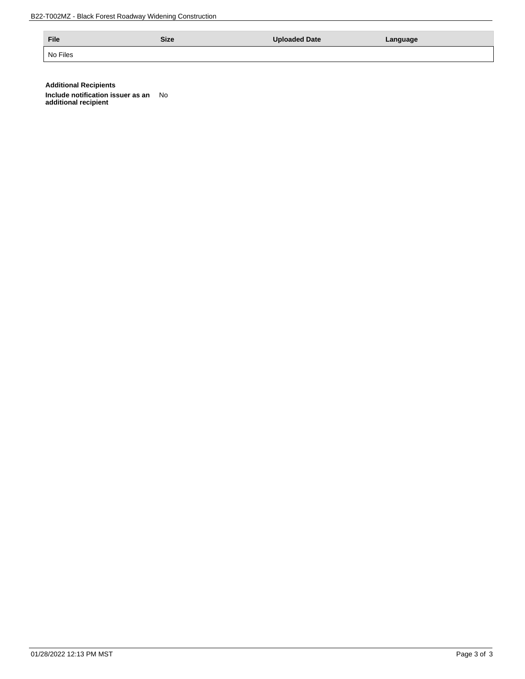B22-T002MZ - Black Forest Roadway Widening Construction

| File     | Size | <b>Uploaded Date</b> | Language |
|----------|------|----------------------|----------|
| No Files |      |                      |          |

**Additional Recipients**

**Include notification issuer as an Include notification issuer as an** No<br>additional recipient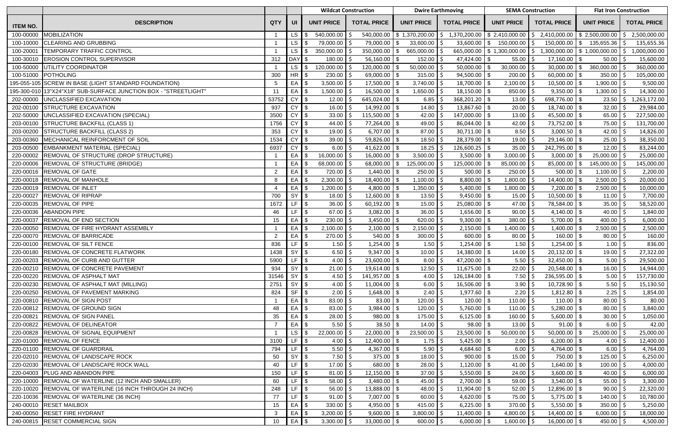|                 |                                                                  |                 |                   | <b>Wildcat Construction</b>         |                          |                           | <b>Dwire Earthmoving</b>                                    |                              | <b>SEMA Construction</b>          |                              | <b>Flat Iron Construction</b>                                                 |
|-----------------|------------------------------------------------------------------|-----------------|-------------------|-------------------------------------|--------------------------|---------------------------|-------------------------------------------------------------|------------------------------|-----------------------------------|------------------------------|-------------------------------------------------------------------------------|
| <b>ITEM NO.</b> | <b>DESCRIPTION</b>                                               | <b>QTY</b>      | UI                | <b>UNIT PRICE</b>                   | <b>TOTAL PRICE</b>       | <b>UNIT PRICE</b>         | <b>TOTAL PRICE</b>                                          | <b>UNIT PRICE</b>            | <b>TOTAL PRICE</b>                | <b>UNIT PRICE</b>            | <b>TOTAL PRICE</b>                                                            |
| 100-00000       | <b>MOBILIZATION</b>                                              |                 | LS I              | 540,000.00 \$                       | 540,000.00               | \$1,370,200.00            | $\frac{1}{2}$ \$ 1,370,200.00 $\frac{1}{2}$ \$ 2,410,000.00 |                              |                                   |                              | $\frac{1}{2}$ ,410,000.00 $\frac{1}{2}$ ,500,000.00 $\frac{1}{2}$ ,500,000.00 |
| 100-10000       | <b>CLEARING AND GRUBBING</b>                                     |                 | LS                | 79,000.00 \$                        | 79,000.00                | 33,600.00<br>-\$          | $33,600.00$ \ \$                                            | 150,000.00                   | <sup>5</sup><br>$150,000.00$ \ \$ | $135,655.36$ \$              | 135,655.36                                                                    |
| 100-20001       | <b>TEMPORARY TRAFFIC CONTROL</b>                                 |                 | $LS$ $\sqrt{ }$   | $350,000.00$ $\uparrow$ \$          | 350,000.00               | 665,000.00<br>\$          |                                                             | 665,000.00   \$ 1,300,000.00 | $\mathsf{S}$                      | 1,300,000.00 \$ 1,000,000.00 | $\vert$ \$<br>1,000,000.00                                                    |
|                 | 100-30010 EROSION CONTROL SUPERVISOR                             | 312             | DAY <sub>\$</sub> | $180.00$   \$                       | 56,160.00                | 152.00<br>l \$            |                                                             | 55.00                        | $17,160.00$ \$                    | $50.00$   \$                 | 15,600.00                                                                     |
|                 | 100-50000 UTILITY COORDINATOR                                    |                 | $LS$ $\sqrt{ }$   | 120,000.00 \$                       | 120,000.00               | 50,000.00<br>\$           | $50,000.00$ \ \$                                            | $30,000.00$ \$               | $30,000.00$ \$                    | $360,000.00$ \$              | 360,000.00                                                                    |
|                 | 100-51000 POTHOLING                                              | 300             | <b>HR</b>         | $230.00$ \$                         | 69,000.00                | 315.00<br>\$              | $94,500.00$ \ \$                                            | 200.00                       | $60,000.00$ \$                    | 350.00                       | 105,000.00                                                                    |
|                 | 195-055-105 SCREW IN BASE (LIGHT STANDARD FOUNDATION)            | $5\phantom{.0}$ | EA \$             | 3,500.00 \$                         | 17,500.00                | 3,740.00<br>\$            | $18,700.00$ \$                                              | 2,100.00                     | $10,500.00$ \$                    | $1,900.00$ \$                | 9,500.00                                                                      |
|                 | 195-300-010 13"X24"X18" SUB-SURFACE JUNCTION BOX - "STREETLIGHT" | 11              | $EA$ \$           | 1,500.00                            | 16,500.00                | 1,650.00<br>- \$          | $18,150.00$ \ \$                                            | 850.00                       | $9,350.00$ \$                     | $1,300.00$ \$                | 14,300.00                                                                     |
|                 | 202-00000 UNCLASSIFIED EXCAVATION                                | 53752           | $CY$ \$           | $12.00$   \$                        | 645,024.00 $\frac{1}{9}$ | 6.85                      | $368,201.20$ \ \$                                           | 13.00                        | 698,776.00 \$                     | $23.50 \mid \xi$             | 1,263,172.00                                                                  |
|                 | 202-00100 STRUCTURE EXCAVATION                                   | 937             | $CY$ $$$          | $16.00$   \$                        | $14,992.00$ \\$          | 14.80                     | $13,867.60$ \ \$                                            | 20.00                        | $18,740.00$ \ \$<br>-Ś            | 32.00                        | 29,984.00                                                                     |
|                 | 202-50000 UNCLASSIFIED EXCAVATION (SPECIAL)                      | 3500            | <b>CY</b>         | $33.00$   \$                        | 115,500.00               | 42.00<br>  \$             | 147,000.00   \$                                             | 13.00                        | 45,500.00 \$                      | 65.00                        | 227,500.00                                                                    |
|                 | 203-00100 STRUCTURE BACKFILL (CLASS 1)                           | 1756            | <b>CY</b>         | $44.00$ \$                          | 77,264.00                | 49.00<br>\$               | $86,044.00$ \ \$                                            | 42.00                        | $73,752.00$ \$                    | 75.00                        | 131,700.00                                                                    |
|                 | 203-00200 STRUCTURE BACKFILL (CLASS 2)                           | 353             | <b>CY</b>         | $19.00$   \$                        | 6,707.00                 | 87.00<br>\$               | 30,711.00                                                   | \$<br>8.50                   | $3,000.50$ \$                     | 42.00                        | 14,826.00                                                                     |
| 203-00360       | MECHANICAL REINFORCMENT OF SOIL                                  | 1534            | CY                | 39.00 $\frac{4}{7}$<br>$\mathsf{L}$ | 59,826.00                | 18.50<br>$\sqrt[6]{3}$    | $28,379.00$ \ \$                                            | 19.00                        | $29,146.00$ \$                    | $25.00$   \$                 | 38,350.00                                                                     |
|                 | 203-00500 EMBANKMENT MATERIAL (SPECIAL)                          | 6937            | $CY$ \$           | $6.00$   \$                         | $41,622.00$ \$           | 18.25                     | $126,600.25$ \ \ \$                                         | 35.00                        | 242,795.00 \\$<br><sup>5</sup>    | $12.00$   \$                 | 83,244.00                                                                     |
|                 | 220-00002 REMOVAL OF STRUCTURE (DROP STRUCTURE)                  |                 | $EA$ $\sqrt$      | $16,000.00$ \$                      | 16,000.00                | 3,500.00<br>- \$          | $3,500.00$ \ \$                                             | 3,000.00                     | $3,000.00$ \$                     | 25,000.00                    | 25,000.00                                                                     |
|                 | 220-00006 REMOVAL OF STRUCTURE (BRIDGE)                          |                 | $EA$ \$           | 68,000.00 \$                        | 68,000.00                | 125,000.00<br>\$          | $125,000.00$ \$                                             | 85,000.00                    | 85,000.00 \$<br>-\$               | 145,000.00 S                 | 145,000.00                                                                    |
|                 | 220-00016 REMOVAL OF GATE                                        | 2               | EA I              | $720.00$ \$                         | 1,440.00                 | 250.00<br>- \$            | $500.00$ \ \$                                               | 250.00                       | $500.00$ \ \$                     | $1,100.00$   \$              | 2,200.00                                                                      |
|                 | 220-00018 REMOVAL OF MANHOLE                                     | 8               | EA                | 2,300.00                            | 18,400.00                | 1,100.00<br>$\sqrt[6]{3}$ | 8,800.00                                                    | 1,800.00<br>\$               | $14,400.00$ \ \$                  | $2,500.00$ \$                | 20,000.00                                                                     |
|                 | 220-00019 REMOVAL OF INLET                                       |                 | $EA$ $\sqrt$      | $1,200.00$ \$                       | 4,800.00                 | 1,350.00<br>\$            | 5,400.00                                                    | 1,800.00<br>\$               | $7,200.00$ \$                     | $2,500.00$ \$                | 10,000.00                                                                     |
| 220-00027       | <b>REMOVAL OF RIPRAP</b>                                         | 700             | SY                | 18.00                               | 12,600.00                | \$<br>13.50               | $9,450.00$ \ \$                                             | 15.00                        | $10,500.00$ \$                    | $11.00$   \$                 | 7,700.00                                                                      |
|                 | 220-00035 REMOVAL OF PIPE                                        | 1672            | $LF$ \$           | $36.00$ $\frac{1}{2}$               | 60,192.00                | 15.00<br>l \$             | $25,080.00$ \ \$                                            | 47.00                        | 78,584.00 \$<br>-S                | $35.00$ $\frac{1}{5}$        | 58,520.00                                                                     |
| 220-00036       | <b>ABANDON PIPE</b>                                              | 46              | LF.               | $67.00$ $\frac{1}{2}$               | 3,082.00                 | 36.00<br>\$               | $1,656.00$ \ \$                                             | 90.00                        | 4,140.00 $\frac{1}{9}$            | $40.00$   \$                 | 1,840.00                                                                      |
| 220-00037       | <b>REMOVAL OF END SECTION</b>                                    | 15              | $EA$ \$           | $230.00$ \$                         | 3,450.00                 | 620.00<br>\$              | $9,300.00$ \ \$                                             | $380.00$   \$                | $5,700.00$ \$                     | $400.00$ \$                  | 6,000.00                                                                      |
|                 | 220-00050 REMOVAL OF FIRE HYDRANT ASSEMBLY                       |                 | EA \$             | $2,100.00$   \$                     | 2,100.00                 | 2,150.00<br>- \$          | 2,150.00                                                    | \$<br>1,400.00               | $1,400.00$ \\$                    | 2,500.00                     | 2,500.00                                                                      |
| 220-00070       | REMOVAL OF BARRICADE                                             | $\overline{2}$  | EA                | $270.00$   \$                       | 540.00                   | 300.00<br>- \$            | $600.00$ \ \$                                               | 80.00                        | $160.00$ \ \$                     | $80.00$ \$                   | 160.00                                                                        |
|                 | 220-00100 REMOVAL OF SILT FENCE                                  | 836             | LF $\sqrt{3}$     | $1.50$   \$                         | 1,254.00                 | - \$<br>1.50              | $1,254.00$ \ \$                                             | 1.50                         | $1,254.00$ \\$                    | $1.00$   \$                  | 836.00                                                                        |
|                 | 220-00180 REMOVAL OF CONCRETE FLATWORK                           | 1438            | $SY$ \$           | 6.50   \$                           | $9,347.00$ \$            | $10.00$   \$              | $14,380.00$ \$                                              | 14.00   \$                   | $20,132.00$ \$                    | $19.00$ \$                   | 27,322.00                                                                     |
|                 | 220-00203 REMOVAL OF CURB AND GUTTER                             | 5900            | $LF$ \$           | $4.00$   \$                         | $23,600.00$ \$           | 8.00                      | 47,200.00 $\frac{1}{3}$                                     | $5.50$   \$                  | $32,450.00$ \ \$                  | $5.00$   \$                  | 29,500.00                                                                     |
|                 | 220-00210 REMOVAL OF CONCRETE PAVEMENT                           | 934             | SY                | $21.00$   \$                        | $19,614.00$ \\$          | 12.50                     | $11,675.00$ \\$                                             | 22.00                        | $20,548.00$ \ \$                  | $16.00$   \$                 | 14,944.00                                                                     |
|                 | 220-00220 REMOVAL OF ASPHALT MAT                                 | 31546           | SY                | 4.50 $\frac{1}{5}$                  | 141,957.00               | \$<br>4.00                | $126,184.00$ \ \$                                           | 7.50                         | $236,595.00$ \$                   | $5.00$   \$                  | 157,730.00                                                                    |
|                 | 220-00230 REMOVAL OF ASPHALT MAT (MILLING)                       | 2751            | $SY$ \$           | $4.00$   \$                         | 11,004.00                | 6.00<br>\$                | $16,506.00$ \ \$                                            | 3.90                         | $10,728.90$ \$                    | 5.50                         | 15,130.50                                                                     |
|                 | 220-00250 REMOVAL OF PAVEMENT MARKING                            | 824             | $SF$ \$           | $2.00$ \$                           | 1,648.00                 | 2.40<br>\$                | $1,977.60$ \$                                               | 2.20                         | $1,812.80$ \$                     | $2.25$ \$                    | 1,854.00                                                                      |
|                 | 220-00810 REMOVAL OF SIGN POST                                   |                 | $EA$ \$           | $83.00$   \$                        | 83.00                    | 120.00<br>l \$            | $120.00$   \$                                               | $110.00$   \$                | $110.00$ \$                       | $80.00$ \$                   | 80.00                                                                         |
|                 | 220-00812 REMOVAL OF GROUND SIGN                                 | 48              | $EA$ \$           | $83.00$   \$                        | 3,984.00                 | 120.00<br>l \$            | $5,760.00$ \\$                                              | $110.00$   \$                | $5,280.00$ \ \$                   | $80.00$   \$                 | 3,840.00                                                                      |
|                 | 220-00821 REMOVAL OF SIGN PANEL                                  | 35              | $EA$ \$           | $28.00$   \$                        | 980.00                   | 175.00<br>- \$            | $6,125.00$ \ \$                                             | $160.00$   \$                | $5,600.00$ \$                     | $30.00$   \$                 | 1,050.00                                                                      |
|                 | 220-00822 REMOVAL OF DELINEATOR                                  | -7              | $EA$ \$           | $5.50$   \$                         | $38.50$ \ \$             | 14.00                     | $98.00$ \ \$                                                | 13.00                        | $91.00$ \$<br>-S                  | $6.00$ \$                    | 42.00                                                                         |
|                 | 220-00828 REMOVAL OF SIGNAL EQUIPMENT                            |                 | LS                | $22,000.00$ \$                      | 22,000.00                | 23,500.00<br>\$           | 23,500.00                                                   | 50,000.00<br>\$              | $50,000.00$ \$                    | $25,000.00$ \$               | 25,000.00                                                                     |
|                 | 220-01000 REMOVAL OF FENCE                                       | 3100            | $LF$ \ \$         | $4.00$   \$                         | 12,400.00                | 1.75<br>-\$               | 5,425.00                                                    | 2.00<br>\$                   | $6,200.00$ \$                     | $4.00$   \$                  | 12,400.00                                                                     |
|                 | 220-01100 REMOVAL OF GUARDRAIL                                   | 794             | LF $\sqrt{3}$     | $5.50$   \$                         | 4,367.00                 | 5.90<br>-\$               | $4,684.60$ \$                                               | $6.00$   \$                  | $4,764.00$ \ \$                   | $6.00$ \$                    | 4,764.00                                                                      |
|                 | 220-02010 REMOVAL OF LANDSCAPE ROCK                              | 50              | $SY$ \$           | $7.50$   \$                         | $375.00$ \ \$            | 18.00                     | $900.00$   \$<br>-S                                         | $15.00$   \$                 | 750.00   \$                       | $125.00$   \$                | 6,250.00                                                                      |
|                 | 220-02030 REMOVAL OF LANDSCAPE ROCK WALL                         | 40              | $LF$ $\sqrt{3}$   | $17.00$   \$                        | $680.00$ \ \$            | 28.00                     |                                                             | 41.00 $\vert$ \$             | $1,640.00$ \ \$                   | $100.00$   \$                | 4,000.00                                                                      |
|                 | 220-04003 PLUG AND ABANDON PIPE                                  | 150             | $LF$ \$           | $81.00$   \$                        | 12,150.00                | 37.00<br>-\$              | $5,550.00$ \ \$                                             | $24.00$   \$                 | $3,600.00$ \$                     | $40.00$   \$                 | 6,000.00                                                                      |
|                 | 220-10000 REMOVAL OF WATERLINE (12 INCH AND SMALLER)             | 60              | $LF$ $\sqrt{3}$   | $58.00$ $\frac{1}{2}$               | 3,480.00                 | 45.00<br>-\$              | $2,700.00$ \ \$                                             | 59.00                        | $3,540.00$ \ \$                   | 55.00                        | 3,300.00                                                                      |
|                 | 220-10020 REMOVAL OF WATERLINE (16 INCH THROUGH 24 INCH)         | 248             | LF $\sqrt{3}$     | $56.00$ $\frac{1}{2}$               | 13,888.00                | 48.00<br>\$               | $11,904.00$ \\$                                             | 52.00                        | $12,896.00$ \$                    | $90.00$   \$                 | 22,320.00                                                                     |
|                 | 220-10036 REMOVAL OF WATERLINE (36 INCH)                         | 77              | $LF$ $\sqrt{ }$   | $91.00$ \$                          | $7,007.00$ \$            | 60.00                     | $4,620.00$ \ \$                                             | $75.00$   \$                 | $5,775.00$ \ \$                   | $140.00$   \$                | 10,780.00                                                                     |
|                 | 240-00010 RESET MAILBOX                                          | 15              | $EA$ \$           | $330.00$   \$                       | $4,950.00$ \ \$          | 415.00                    | $6,225.00$ \ \ \$                                           | $370.00$   \$                | $5,550.00$ \ \$                   | $350.00$   \$                | 5,250.00                                                                      |
|                 | 240-00050 RESET FIRE HYDRANT                                     | 3               | $EA$ \$           | $3,200.00$ \$                       | 9,600.00                 | 3,800.00<br>-\$           | $11,400.00$ \ \$                                            | 4,800.00 $\vert$ \$          | $14,400.00$ \ \$                  | $6,000.00$ \$                | 18,000.00                                                                     |
|                 | 240-00815 RESET COMMERCIAL SIGN                                  | 10 <sup>°</sup> | EA S              | $3,300.00$ \$                       | $33,000.00$ \ \$         | $600.00$   \$             | $6,000.00$ \$                                               | $1,600.00$ \$                | $16,000.00$ \$                    | $450.00$ \$                  | 4,500.00                                                                      |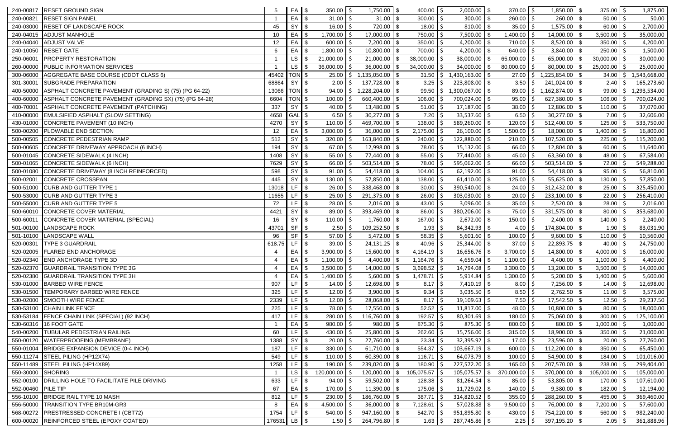|                    | 240-00817 RESET GROUND SIGN                                                  | 5               | EA \$              | $350.00$ \$                             | 1,750.00            | $400.00$ \$<br>- \$         | 2,000.00                  | \$            | 370.00          | \$            | $1,850.00$ \ \$     | $375.00$ \$         |            | 1,875.00     |
|--------------------|------------------------------------------------------------------------------|-----------------|--------------------|-----------------------------------------|---------------------|-----------------------------|---------------------------|---------------|-----------------|---------------|---------------------|---------------------|------------|--------------|
| 240-00821          | <b>RESET SIGN PANEL</b>                                                      |                 | $EA$ \$            | $31.00$ \$                              | 31.00               | 300.00<br>- \$              | 300.00                    | \$            | 260.00          |               | $260.00$ \ \$       | $50.00$   \$        |            | 50.00        |
| 240-03000          | <b>RESET OF LANDSCAPE ROCK</b>                                               | 45              | $SY$ \$            | $16.00$   \$                            | 720.00              | 18.00<br>- \$               |                           |               | 35.00           |               | $1,575.00$ \\$      | 60.00               |            | 2,700.00     |
|                    | 240-04015 ADJUST MANHOLE                                                     | 10 <sup>°</sup> | $EA$ \$            | 1,700.00   \$                           | 17,000.00           | 750.00<br>$\sqrt{3}$        | $7,500.00$ \\$<br>-S      |               | 1,400.00        | -S            | $14,000.00$ \ \$    | $3,500.00$ \$       |            | 35,000.00    |
|                    | 240-04040 ADJUST VALVE                                                       | 12              | EA                 | $600.00$ \$                             | 7,200.00            | 350.00<br>$\sqrt{3}$        | $4,200.00$ \\$            |               | 710.00          | -S            | $8,520.00$ \ \$     | 350.00              |            | 4,200.00     |
|                    | 240-10050 RESET GATE                                                         | 6               | EA                 | $1,800.00$   \$                         | 10,800.00           | 700.00<br>- \$              | 4,200.00 $\frac{1}{9}$    |               | 640.00          |               | $3,840.00$ \ \$     | 250.00              |            | 1,500.00     |
| 250-06001          | <b>PROPERTY RESTORATION</b>                                                  |                 | <b>LS</b>          | $21,000.00$ $\frac{1}{5}$               | 21,000.00           | 38,000.00                   | 38,000.00                 | \$.           | 65,000.00       |               | $65,000.00$ \ \$    | 30,000.00           |            | 30,000.00    |
| 260-00000          | <b>PUBLIC INFORMATION SERVICES</b>                                           |                 | LS                 | $36,000.00$ \$                          | 36,000.00           | 34,000.00                   | 34,000.00                 | \$            | 80,000.00       |               | $80,000.00$ \$      | 25,000.00           |            | 25,000.00    |
| 300-06000          | AGGREGATE BASE COURSE (CDOT CLASS 6)                                         | 45402           | TON <sub>\$</sub>  | $25.00$   \$                            | 1,135,050.00        | 31.50                       | $1,430,163.00$ \ \$       |               | 27.00           | <sup>S</sup>  | $1,225,854.00$ \ \$ | 34.00               | $\vert$ \$ | 1,543,668.00 |
| 301-30001          | SUBGRADE PREPARATION                                                         | 68864           | $SY$ \$            | $2.00$   \$                             | 137,728.00          | 3.25<br><b>\$</b>           | $223,808.00$ \ \$         |               | 3.50            |               | $241,024.00$ \\$    | 2.40                |            | 165,273.60   |
| 400-50000          | ASPHALT CONCRETE PAVEMENT (GRADING S) (75) (PG 64-22)                        | 13066           | TON \$             | 94.00                                   | 1,228,204.00<br>l S | 99.50<br>  \$               | $1,300,067.00$ \ \$<br>S. |               | 89.00           | S.            | $1,162,874.00$ \ \$ | 99.00               |            | 1,293,534.00 |
| 400-60000          | ASPHALT CONCRETE PAVEMENT (GRADING SX) (75) (PG 64-28)                       | 6604            | TON \$             | $100.00$ \$                             | 660,400.00          | 106.00<br>∣\$               | 700,024.00                | \$            | 95.00           |               | $627,380.00$ \ \$   | 106.00              |            | 700,024.00   |
| 400-70001          | ASPHALT CONCRETE PAVEMENT (PATCHING)                                         | 337             | SY                 | $40.00$   \$                            | 13,480.00           | 51.00<br>$\sqrt{3}$         | $17,187.00$ \ \$          |               | 38.00           |               | $12,806.00$ \ \$    | 110.00              |            | 37,070.00    |
| 410-00000          | <b>EMULSIFIED ASPHALT (SLOW SETTING)</b>                                     | 4658            | GAL <sup>S</sup>   | 6.50                                    | 30,277.00           | 7.20<br>\$                  | 33,537.60                 | \$            | 6.50            |               | $30,277.00$ \ \$    | 7.00                |            | 32,606.00    |
| 430-01000          | CONCRETE PAVEMENT (10 INCH)                                                  | 4270            | SY                 | $110.00$ \$                             | 469,700.00          | 138.00<br>- \$              | 589,260.00                | \$            | 120.00          |               | $512,400.00$ \$     | 125.00              |            | 533,750.00   |
| 500-00200          | <b>PLOWABLE END SECTION</b>                                                  | 12              | $EA$ \$            | $3,000.00$ \$                           | 36,000.00           | 2,175.00<br>- \$            | $26,100.00$ \ \$          |               | 1,500.00        |               | $18,000.00$ \$      | 1,400.00            |            | 16,800.00    |
| 500-00505          | CONCRETE PEDESTRIAN RAMP                                                     | 512             | <b>SY</b>          | $320.00$ \$                             | 163,840.00          | 240.00<br>  \$              | 122,880.00   \$           |               | 210.00          |               | $107,520.00$ \ \$   | 225.00              |            | 115,200.00   |
|                    | 500-00605 CONCRETE DRIVEWAY APPROACH (6 INCH)                                | 194             | $SY$ \$            | $67.00$   \$                            | 12,998.00           | 78.00<br>  \$               | $15,132.00$ \ \$          |               | 66.00           |               | $12,804.00$ \ \$    | 60.00               |            | 11,640.00    |
|                    | 500-01045 CONCRETE SIDEWALK (4 INCH)                                         | 1408            | SY                 | $55.00$   \$                            | 77,440.00           | 55.00<br>l \$               | $77,440.00$ \ \$          |               | 45.00           |               | $63,360.00$ \$      | 48.00               |            | 67,584.00    |
| 500-01065          | <b>CONCRETE SIDEWALK (6 INCH)</b>                                            | 7629            | SY                 | 66.00                                   | 503,514.00          | 78.00<br>\$                 | 595,062.00                | $\sqrt[6]{2}$ | 66.00           |               | $503,514.00$ \\$    | 72.00               |            | 549,288.00   |
| 500-01080          | CONCRETE DRIVEWAY (8 INCH REINFORCED)                                        | 598             | SY                 | $91.00$ $\frac{3}{2}$<br>$\blacksquare$ | 54,418.00           | 104.00<br>- \$              | 62,192.00                 | -\$           | 91.00           |               | $54,418.00$ \$      | 95.00               |            | 56,810.00    |
| 500-02001          | CONCRETE CROSSPAN                                                            | 445             | $SY$ \$            | $130.00$   \$                           | 57,850.00           | 138.00<br>- \$              |                           |               | 125.00          |               | $55,625.00$ \$      | 130.00              |            | 57,850.00    |
| 500-51000          | <b>CURB AND GUTTER TYPE 1</b>                                                | 13018           | $LF$ \$            | $26.00$   \$                            | 338,468.00          | 30.00<br>l \$               | $390,540.00$ \ \$         |               | 24.00           | <sup>\$</sup> | $312,432.00$ \ \$   | 25.00               |            | 325,450.00   |
| 500-53000          | <b>CURB AND GUTTER TYPE 3</b>                                                | 11655           | LF $\sqrt{S}$      | $25.00$ $\frac{1}{5}$                   | $291,375.00$ \ \$   | 26.00                       | $303,030.00$ \ \$         |               | 20.00           |               | $233,100.00$ \$     | 22.00               |            | 256,410.00   |
| 500-55000          | <b>CURB AND GUTTER TYPE 5</b>                                                | 72              | $LF$ $\frac{1}{3}$ | $28.00$ $\frac{3}{2}$                   | 2,016.00            | 43.00<br>∣\$                | $3,096.00$ \ \$           |               | 35.00           |               | $2,520.00$ \$       | 28.00               |            | 2,016.00     |
|                    | 500-60010 CONCRETE COVER MATERIAL                                            | 4421            | SY                 | 89.00                                   | 393,469.00          | 86.00<br>- \$               | 380,206.00                | -\$           | 75.00           |               | $331,575.00$ \ \$   | 80.00               |            | 353,680.00   |
| 500-60011          | CONCRETE COVER MATERIAL (SPECIAL)                                            | 16              | SY                 | $110.00$ $\frac{2}{3}$                  | 1,760.00            | 167.00<br>- \$              | 2,672.00                  | \$            | 150.00          |               | $2,400.00$ \$       | 140.00              |            | 2,240.00     |
| 501-00100          | <b>LANDSCAPE ROCK</b>                                                        | 43701           | $SF$ \$            | $2.50$   \$                             | 109,252.50          | 1.93<br>  \$                |                           |               | 4.00            |               | 174,804.00   \$     | 1.90                |            | 83,031.90    |
| 501-10100          | <b>LANDSCAPE WALL</b>                                                        | 96              | $SF$ $\frac{1}{3}$ | $57.00$ \$                              | $5,472.00$ \ \$     | 58.35                       | $5,601.60$ \$             |               | 100.00          |               | $9,600.00$ \$       | 110.00              |            | 10,560.00    |
| 520-00301          | <b>TYPE 3 GUARDRAIL</b>                                                      | 618.75          | $LF$ \$            | $39.00$   \$                            | 24,131.25           | 40.96<br>∣\$                |                           |               | 37.00           |               | $22,893.75$ \$      | 40.00               |            | 24,750.00    |
|                    | 520-02005 FLARED END ANCHORAGE                                               | $\overline{4}$  | EA S               | $3,900.00$ \$                           | 15,600.00           | $4,164.19$ \$<br><b>S</b>   | $16,656.76$ \\$           |               | $3,700.00$   \$ |               | $14,800.00$ \ \$    | 4,000.00 $\vert$ \$ |            | 16,000.00    |
|                    | 520-02340 END ANCHORAGE TYPE 3D                                              |                 | $EA$ \$            | $1,100.00$ \$                           | 4,400.00            | $1,164.76$ \$<br>$\sqrt{3}$ | $4,659.04$ \\$            |               | 1,100.00        | -Ś            | $4,400.00$ \$       | 1,100.00            | I \$       | 4,400.00     |
|                    | 520-02370 GUARDRAIL TRANSITION TYPE 3G                                       |                 | EA                 | 3,500.00   \$                           | 14,000.00           | 3,698.52 $\frac{1}{2}$      | 14,794.08                 | -\$           | 3,300.00        |               | $13,200.00$ \$      | 3,500.00            |            | 14,000.00    |
| 520-02380          | <b>GUARDRAIL TRANSITION TYPE 3H</b>                                          |                 | EA \$              | $1,400.00$ \$                           | 5,600.00            | 1,478.71                    | $5,914.84$ \\$            |               | 1,300.00        |               | $5,200.00$ \ \$     | $1,400.00$ \$       |            | 5,600.00     |
| 530-01000          | <b>BARBED WIRE FENCE</b>                                                     | 907             | LF $\sqrt{3}$      | $14.00$   \$                            | 12,698.00           | 8.17<br>$\sqrt{3}$          | $7,410.19$ \\$            |               | 8.00            | -S            | $7,256.00$ \\$      | $14.00$   \$        |            | 12,698.00    |
| 530-01500          | <b>TEMPORARY BARBED WIRE FENCE</b>                                           | 325             | $LF$ $\sqrt{ }$    | $12.00$   \$                            | $3,900.00$ \$       | 9.34                        | $3,035.50$ \$             |               | $8.50$   \$     |               | $2,762.50$ \$       | 11.00 $\frac{1}{2}$ |            | 3,575.00     |
| 530-02000          | <b>SMOOTH WIRE FENCE</b>                                                     | 2339            | LF $\sqrt{3}$      | $12.00$   \$                            | 28,068.00           | $8.17$ \$<br>  \$           |                           |               | 7.50            |               | $17,542.50$ \$      | $12.50$   \$        |            | 29,237.50    |
|                    | 530-53100 CHAIN LINK FENCE                                                   | 225             | LF.                | 78.00 \$                                | 17,550.00           | $52.52$   \$<br>  \$        | $11,817.00$ \ \$          |               | 48.00           |               | $10,800.00$ \ \$    | 80.00               |            | 18,000.00    |
|                    | 530-53184 FENCE CHAIN LINK (SPECIAL) (92 INCH)                               | 417             | LF $\sqrt{3}$      | $280.00$ \$                             | 116,760.00          | 192.57<br>- \$              | 80,301.69                 | $\sqrt[6]{2}$ | 180.00          |               | 75,060.00 \$        | 300.00              |            | 125,100.00   |
|                    | 530-60316 16 FOOT GATE                                                       |                 | $EA$ $\sqrt$       | $980.00$ \$                             | 980.00              | 875.30<br>$\sqrt{3}$        | $875.30$ \ \$             |               | 800.00          | -Ś            | $800.00$ \ \$       | $1,000.00$ \$       |            | 1,000.00     |
|                    | 540-00200 TUBULAR PEDESTRIAN RAILING                                         | 60              | $LF$ $\sqrt{ }$    | 430.00 $\vert$ \$                       | 25,800.00           | 262.60<br>- \$              | $15,756.00$ \ \$          |               | 315.00          |               | 18,900.00 \$        | $350.00$   \$       |            | 21,000.00    |
|                    | 550-00120 WATERPROOFING (MEMBRANE)                                           | 1388            | $SY$ \$            | $20.00$   \$                            | 27,760.00           | 23.34<br>- \$               | $32,395.92$ \$            |               | 17.00           |               | $23,596.00$ \ \$    | $20.00$   \$        |            | 27,760.00    |
|                    | 550-01004 BRIDGE EXPANSION DEVICE (0-4 INCH)                                 | 187             | LF                 | $330.00$ \$                             | 61,710.00           | 554.37<br>∣\$               | $103,667.19$ \$           |               | 600.00          |               | $112,200.00$ \$     | 350.00              |            | 65,450.00    |
|                    | 550-11274 STEEL PILING (HP12X74)                                             | 549             | LF $\sqrt{3}$      | $110.00$   \$                           | 60,390.00           | 116.71<br>l \$              | $64,073.79$ \\$<br>l S    |               | 100.00          |               | $54,900.00$ \ \$    | 184.00              |            | 101,016.00   |
|                    | 550-11489 STEEL PILING (HP14X89)                                             | 1258            | LF                 | 190.00                                  | 239,020.00          | 180.90<br>- \$              | 227,572.20                | -\$           | 165.00          |               | $207,570.00$ \ \$   | 238.00              |            | 299,404.00   |
| 550-30000          | <b>SHORING</b>                                                               |                 | <b>LS</b>          | $120,000.00$ $\frac{1}{2}$              | 120,000.00          | 105,075.57<br>-\$           | 105,075.57                | $\frac{1}{2}$ | 370,000.00      |               | $370,000.00$ \ \$   | 105,000.00          |            | 105,000.00   |
|                    | 552-00100 DRILLING HOLE TO FACILITATE PILE DRIVING                           | 633             | LF $\sqrt{3}$      | $94.00$ \$                              | 59,502.00           | 128.38                      |                           |               | 85.00           |               | $53,805.00$ \$      | 170.00              |            | 107,610.00   |
| 552-00460 PILE TIP |                                                                              | 67              | $EA$ $\sqrt$       | $170.00$   \$                           | 11,390.00           | 175.06<br>  \$              | $11,729.02$ \\$           |               | 140.00          |               | $9,380.00$ \$       | $182.00$   \$       |            | 12,194.00    |
|                    | 556-10100 BRIDGE RAIL TYPE 10 MASH                                           | 812             | LF $\sqrt{3}$      | $230.00$ \$                             | 186,760.00          | 387.71<br>  \$              | I S                       |               | 355.00          | -S            | 288,260.00 \\$      | 455.00              |            | 369,460.00   |
| 556-50000          | <b>TRANSITION TYPE BR10M-GR3</b><br>568-00272 PRESTRESSED CONCRETE I (CBT72) | 8<br>1754       | EA<br>LF.          | 4,500.00   \$                           | 36,000.00           | $7,128.61$ \$<br>l \$       | $57,028.88$ \ \ \$        |               | 9,500.00        |               | 76,000.00 \$        | 7,200.00            |            | 57,600.00    |
|                    | 600-00020 REINFORCED STEEL (EPOXY COATED)                                    |                 |                    | $540.00$ \$                             | 947,160.00          | 542.70<br>$\sqrt{3}$        | $951,895.80$ \ \$         |               | 430.00          |               | 754,220.00 \$       | 560.00              |            | 982,240.00   |
|                    |                                                                              | 176531          | $LB$ $\sqrt{ }$    | $1.50$   \$                             | 264,796.80          | $1.63 \mid \xi$<br>l \$     | $287,745.86$ \ \ \$       |               | 2.25            | -S            | $397,195.20$ \$     | $2.05$   \$         |            | 361,888.96   |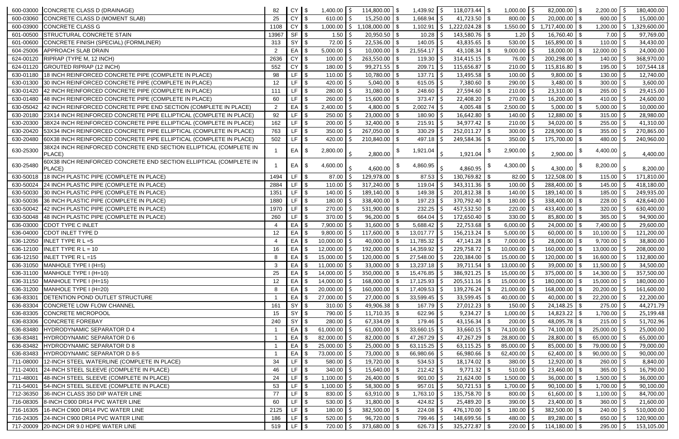|           | 600-03000 CONCRETE CLASS D (DRAINAGE)                                        | 82             | CY              | $\sqrt{5}$     | $1,400.00$ \$                      | 114,800.00                  | -\$        | $1,439.92$ \$           | $118,073.44$ \ \\$       |     | 1,000.00                      | -Ś            | $82,000.00$ \ \$                     | $2,200.00$ \$                  | 180,400.00                 |
|-----------|------------------------------------------------------------------------------|----------------|-----------------|----------------|------------------------------------|-----------------------------|------------|-------------------------|--------------------------|-----|-------------------------------|---------------|--------------------------------------|--------------------------------|----------------------------|
| 600-03060 | CONCRETE CLASS D (MOMENT SLAB)                                               | 25             | <b>CY</b>       | $\blacksquare$ | $610.00$ \$                        | 15,250.00                   | - \$       | 1,668.94                | $41,723.50$ \\$          |     | 800.00                        | -S            | $20,000.00$ \ \$                     | 600.00                         | 15,000.00                  |
| 600-03900 | <b>CONCRETE CLASS G</b>                                                      | 1108           | <b>CY</b>       |                | $1,000.00$   \$                    | 1,108,000.00                | $\sqrt{3}$ | 1,102.91                | 15                       |     | 1,550.00                      |               | $$1,717,400.00$ \\$                  | 1,200.00                       | $\vert$ \$<br>1,329,600.00 |
| 601-00500 | STRUCTURAL CONCRETE STAIN                                                    | 13967          | $SF$ $\sqrt$    |                | $1.50$   \$                        | $20,950.50$ \$              |            | 10.28                   | $143,580.76$ \ \$<br>l S |     | 1.20                          | S             | $16,760.40$ \ \$                     | 7.00                           | 97,769.00                  |
| 601-00600 | CONCRETE FINISH (SPECIAL) (FORMLINER)                                        | 313            | <b>SY</b>       |                | $72.00$ $\frac{4}{5}$              | 22,536.00                   | <b>\$</b>  | 140.05                  | 43,835.65 $\frac{1}{3}$  |     | 530.00                        |               | 165,890.00 \$                        | 110.00                         | 34,430.00                  |
| 604-25006 | APPROACH SLAB DRAIN                                                          | $\overline{2}$ | EA              |                | $5,000.00$ \$                      | 10,000.00                   | \$         | 21,554.17               | 43,108.34 $\frac{1}{3}$  |     | 9,000.00                      |               | $18,000.00$ \ \$                     | 12,000.00                      | 24,000.00                  |
|           | 624-00120 RIPRAP (TYPE M, 12 INCH)                                           | 2636           | <b>CY</b>       |                | 100.00                             | 263,550.00                  | - \$       | 119.30                  | $314,415.15$ \\$         |     | 76.00                         |               | $200,298.00$ \$                      | 140.00                         | 368,970.00                 |
|           | 624-01120 GROUTED RIPRAP (12 INCH)                                           | 552            | <b>CY</b>       | $\blacksquare$ | $180.00$ $\frac{4}{5}$             | 99,271.55                   | $\sqrt{3}$ | 209.71                  | $115,656.87$ \\$         |     | 210.00                        |               | $115,816.80$ \$                      | 195.00                         | 107,544.18                 |
| 630-01180 | 18 INCH REINFORCED CONCRETE PIPE (COMPLETE IN PLACE)                         | 98             | $LF$ $\sqrt{ }$ |                | $110.00$   \$                      | 10,780.00                   | $\sqrt{3}$ | 137.71                  |                          |     | 100.00                        | <sup>\$</sup> | $9,800.00$ \$                        | $130.00$ \$                    | 12,740.00                  |
| 630-01300 | 30 INCH REINFORCED CONCRETE PIPE (COMPLETE IN PLACE)                         | 12             | LF              |                | 420.00 $\vert$ \$                  | 5,040.00                    | \$         | 615.05                  | $7,380.60$ \ \$          |     | 290.00                        |               | $3,480.00$ \ \$                      | 300.00                         | 3,600.00                   |
|           | 630-01420 42 INCH REINFORCED CONCRETE PIPE (COMPLETE IN PLACE)               | 111            | LF.             |                | $280.00$ $\frac{2}{5}$             | 31,080.00                   | - \$       | 248.60                  | $27,594.60$ \\$          |     | 210.00                        |               | $23,310.00$ \ \$                     | 265.00                         | 29,415.00                  |
| 630-01480 | 48 INCH REINFORCED CONCRETE PIPE (COMPLETE IN PLACE)                         | 60             | LF              |                | $260.00$ \ \;                      | 15,600.00                   | - \$       | 373.47                  | 22,408.20                | -\$ | 270.00                        |               | $16,200.00$ \ \$                     | 410.00                         | 24,600.00                  |
| 630-05042 | 42 INCH REINFORCED CONCRETE PIPE END SECTION (COMPLETE IN PLACE)             | $\overline{2}$ | EA              |                | 2,400.00                           | 4,800.00                    |            | 2,002.74                | 4,005.48                 | -\$ | 2,500.00                      |               | 5,000.00                             | 5,000.00                       | 10,000.00                  |
| 630-20180 | 23X14 INCH REINFORCED CONCRETE PIPE ELLIPTICAL (COMPLETE IN PLACE)           | 92             | $LF$ $\sqrt{3}$ |                | $250.00$ \$                        | 23,000.00                   | - \$       | 180.90                  | 16,642.80                | -\$ | 140.00                        |               | 12,880.00 \$                         | 315.00                         | 28,980.00                  |
| 630-20300 | 38X24 INCH REINFORCED CONCRETE PIPE ELLIPTICAL (COMPLETE IN PLACE)           | 162            | LF.             |                | $200.00$ \$                        | 32,400.00                   | - \$       | 215.91                  |                          |     | 210.00                        |               | $34,020.00$ \$                       | 255.00                         | 41,310.00                  |
| 630-20420 | 53X34 INCH REINFORCED CONCRETE PIPE ELLIPTICAL (COMPLETE IN PLACE)           | 763            | $LF$ \\$        |                | 350.00                             | 267,050.00                  | \$         | 330.29                  | $252,011.27$ \ \\$       |     | 300.00                        |               | $228,900.00$ \ \$                    | 355.00                         | 270,865.00                 |
| 630-20480 | 60X38 INCH REINFORCED CONCRETE PIPE ELLIPTICAL (COMPLETE IN PLACE)           | 502            | LF              |                | 420.00 $\frac{3}{2}$               | 210,840.00                  | 8          | 497.18                  |                          |     | 350.00                        |               | $175,700.00$ \ \$                    | 480.00                         | 240,960.00                 |
| 630-25300 | 38X24 INCH REINFORCED CONCRETE END SECTION ELLIPTICAL (COMPLETE IN<br>PLACE) |                | $EA$ $\sqrt$    |                | 2,800.00                           | 2,800.00                    | - \$       | 1,921.04                | 1,921.04                 |     | 2,900.00                      |               | 2,900.00                             | 4,400.00                       | 4,400.00                   |
| 630-25480 | 60X38 INCH REINFORCED CONCRETE END SECTION ELLIPTICAL (COMPLETE IN<br>PLACE) |                | EA \$           |                | 4,600.00                           | 4,600.00                    |            | 4,860.95                | 4,860.95                 |     | 4,300.00                      |               | 4,300.00                             | 8,200.00                       | 8,200.00                   |
| 630-50018 | 18 INCH PLASTIC PIPE (COMPLETE IN PLACE)                                     | 1494           | LF $\sqrt{3}$   |                | 87.00                              | 129,978.00                  | - \$       | 87.53                   | $130,769.82$ \ \\$       |     | 82.00                         |               | 122,508.00 \$                        | 115.00                         | 171,810.00                 |
|           | 630-50024 24 INCH PLASTIC PIPE (COMPLETE IN PLACE)                           | 2884           | $LF$ $\sqrt{ }$ |                | 110.00                             | 317,240.00                  | - \$       | 119.04                  | 343,311.36               | \$  | 100.00                        |               | 288,400.00 \$                        | 145.00                         | 418,180.00                 |
| 630-50030 | 30 INCH PLASTIC PIPE (COMPLETE IN PLACE)                                     | 1351           | $LF$ $\sqrt{3}$ |                | $140.00$ \$                        | 189,140.00                  | $\sqrt{3}$ | 149.38                  |                          |     | 140.00                        |               | $189,140.00$ \ \$                    | 185.00                         | 249,935.00                 |
| 630-50036 | 36 INCH PLASTIC PIPE (COMPLETE IN PLACE)                                     | 1880           | LF $\sqrt{3}$   |                | $180.00$   \$                      | 338,400.00                  | $\sqrt{3}$ | 197.23                  | $370,792.40$ \ \$        |     | 180.00                        |               | 338,400.00 \$                        | 228.00                         | 428,640.00                 |
|           | 630-50042 42 INCH PLASTIC PIPE (COMPLETE IN PLACE)                           | 1970           | LF I            |                | $270.00$ \ \;                      | 531,900.00                  | l \$       | 232.25                  | $457,532.50$ \ \ \$      |     | 220.00                        |               | 433,400.00 \$                        | 320.00                         | 630,400.00                 |
|           | 630-50048 48 INCH PLASTIC PIPE (COMPLETE IN PLACE)                           | 260            | LF              |                | $370.00$ \$                        | 96,200.00                   | $\sqrt{3}$ | 664.04                  | $172,650.40$ \\$         |     | 330.00                        |               | 85,800.00 \$                         | 365.00                         | 94,900.00                  |
| 636-03000 | CDOT TYPE C INLET                                                            |                | EA              |                | $7,900.00$ \$                      | 31,600.00                   |            | 5,688.42                | $22,753.68$ \ \\$        |     | 6,000.00                      |               | $24,000.00$ \ \$                     | 7,400.00                       | 29,600.00                  |
| 636-04000 | CDOT INLET TYPE D                                                            | 12             | EA              |                | 9,800.00                           | 117,600.00                  |            | 13,017.77               | $156, 213.24$ \\$        |     | 5,000.00                      |               | $60,000.00$ \$                       | 10,100.00 \$                   | 121,200.00                 |
| 636-12050 | INLET TYPE R $L = 5$                                                         |                | EA \$           |                | $10,000.00$   \$                   | 40,000.00                   |            | 11,785.32               |                          |     | 7,000.00                      |               | 28,000.00 \$                         | 9,700.00                       | 38,800.00                  |
|           | 636-12100 INLET TYPE R L = 10                                                | 16             | EA S            |                | $12,000.00$ \$                     | 192,000.00                  |            | 14,359.92               | $229,758.72$ \\$         |     | 10,000.00                     | -S            | $160,000.00$ \ \$                    | 13,000.00                      | 208,000.00                 |
|           | 636-12150 INLET TYPE R L = 15                                                | 8              | EA \$           |                | $15,000.00$   \$                   | $120,000.00$   \$           |            | $27,548.00$   \$        | $220,384.00$ \ \$        |     | $15,000.00$   \$              |               | $120,000.00$ \ \$                    | $16,600.00$   \$               | 132,800.00                 |
|           | 636-31050 MANHOLE TYPE I (H=5)                                               | 3              | EA              |                | $11,000.00$   \$                   | 33,000.00                   | 8          | $13,237.18$   \$        |                          |     | 13,000.00                     |               | $39,000.00$ \ \$                     | 11,500.00                      | 34,500.00                  |
|           | 636-31100 MANHOLE TYPE I (H=10)                                              | 25             | EA              |                | $14,000.00$   \$                   | 350,000.00                  |            | $15,476.85$   \$        |                          |     | 15,000.00                     |               | $375,000.00$ \ \$                    | 14,300.00                      | 357,500.00                 |
|           | 636-31150 MANHOLE TYPE I (H=15)                                              | 12             | EA              |                | $14,000.00$   \$                   | 168,000.00                  |            | $17,125.93$   \$        | 205,511.16               | -S  | 15,000.00                     |               | 180,000.00   \$                      | 15,000.00                      | 180,000.00                 |
|           | 636-31200 MANHOLE TYPE I (H=20)                                              | 8              | EA S            |                | $20,000.00$ \$                     | 160,000.00                  |            | 17,409.53   \$          | 139,276.24               | \$  | 21,000.00                     |               | $168,000.00$ \ \$                    | 20,200.00                      | 161,600.00                 |
|           | 636-83301 DETENTION POND OUTLET STRUCTURE                                    |                | $EA$ \$         |                | $27,000.00$   \$                   | 27,000.00                   | <b>\$</b>  | $33,599.45$ \$          | $33,599.45$ \\$          |     | 40,000.00                     | -S            | $40,000.00$ \$                       | $22,200.00$   \$               | 22,200.00                  |
|           | 636-83304 CONCRETE LOW FLOW CHANNEL                                          | 161            | SY              |                | $310.00$   \$                      |                             |            | $167.79$   \$           |                          |     | 150.00                        |               |                                      | $275.00$   \$                  | 44,271.79                  |
|           | 636-83305 CONCRETE MICROPOOL<br>636-83306 CONCRETE FOREBAY                   | 15<br>240      | $SY$ \$         |                | 790.00 \$<br>$280.00$ \$           | $11,710.35$ \$<br>67,334.09 |            | $622.96$   \$<br>179.46 | $9,234.27$ \$            |     | 1,000.00                      |               | $14,823.22$ \$                       | $1,700.00$   \$                | 25,199.48                  |
|           | 636-83480 HYDRODYNAMIC SEPARATOR D 4                                         |                | SY \$<br>EA \$  |                | 61,000.00 $\vert$ \$               | 61,000.00                   | 8          | 33,660.15               | 33,660.15                | \$  | 200.00<br>74,100.00           |               | $48,095.78$ \ \ \$<br>74,100.00 \$   | 215.00<br>25,000.00            | 51,702.96<br>25,000.00     |
|           | 636-83481 HYDRODYNAMIC SEPARATOR D 6                                         |                | $EA$ \$         |                |                                    |                             |            | $47,267.29$ \$          |                          |     |                               |               |                                      |                                |                            |
|           | 636-83482 HYDRODYNAMIC SEPARATOR D 8                                         |                | EA \$           |                | $82,000.00$   \$<br>$25,000.00$ \$ | 82,000.00                   |            | $63,115.25$ \$          |                          |     | 28,800.00<br>$85,000.00$   \$ |               | $28,800.00$ \ \$<br>$85,000.00$ \ \$ | $65,000.00$ \$<br>79,000.00 \$ | 65,000.00<br>79,000.00     |
|           | 636-83483 HYDRODYNAMIC SEPARATOR D 8-5                                       |                | $EA$ \$         |                | 73,000.00 \$                       | 25,000.00<br>73,000.00      | - \$       | $66,980.66$   \$        | $66,980.66$ \ \$         |     | 62,400.00                     | -S            | $62,400.00$ \ \$                     | $90,000.00$ \$                 | 90,000.00                  |
| 711-08000 | 12-INCH STEEL WATERLINE (COMPLETE IN PLACE)                                  | 34             | LF I            |                | $580.00$   \$                      | $19,720.00$ \ \$            |            | $534.53$   \$           |                          |     | 380.00                        |               | $12,920.00$ \ \$                     | $260.00$ \$                    | 8,840.00                   |
| 711-24001 | 24-INCH STEEL SLEEVE (COMPLETE IN PLACE)                                     | 46             | LF.             |                | $340.00$ \$                        | 15,640.00                   | $\sqrt{3}$ | $212.42$   \$           | $9,771.32$ \$            |     | 510.00                        |               | $23,460.00$ \ \$                     | $365.00$ \$                    | 16,790.00                  |
| 711-48001 | 48-INCH STEEL SLEEVE (COMPLETE IN PLACE)                                     | 24             | $LF$ \\$        |                | $1,100.00$   \$                    | 26,400.00                   | \$         | 901.00                  | $21,624.00$ \\$          |     | 1,500.00                      |               | $36,000.00$ \ \$                     | $1,500.00$ \$                  | 36,000.00                  |
|           | 711-54001 54-INCH STEEL SLEEVE (COMPLETE IN PLACE)                           | 53             | $LF$ $\sqrt{3}$ |                | $1,100.00$ \$                      | 58,300.00                   | \$         | 957.01                  |                          |     | 1,700.00                      |               | $90,100.00$ \$                       | $1,700.00$ \$                  | 90,100.00                  |
| 712-36350 | 36-INCH CLASS 350 DIP WATER LINE                                             | 77             | $LF$ \$         |                | $830.00$   \$                      | 63,910.00                   | ∣\$        | $1,763.10$ \$           | $135,758.70$ \\$         |     | 800.00                        |               | $61,600.00$ \ \$                     | $1,100.00$   \$                | 84,700.00                  |
|           | 716-08305 8-INCH C900 DR14 PVC WATER LINE                                    | 60             | $LF$ $\sqrt{3}$ |                | $530.00$ \$                        | $31,800.00$ \ \$            |            | 424.82 $\frac{1}{2}$    |                          |     | 390.00                        |               | $23,400.00$ \ \$                     | 360.00                         | 21,600.00                  |
|           | 716-16305 16-INCH C900 DR14 PVC WATER LINE                                   | 2125           | LF $\sqrt{ }$   |                | $180.00$   \$                      | $382,500.00$ \ \$           |            | $224.08$   \$           | 476,170.00 $\frac{1}{9}$ |     | 180.00                        | -\$           | $382,500.00$ \ \$                    | 240.00                         | 510,000.00                 |
|           | 716-24305 24-INCH C900 DR14 PVC WATER LINE                                   | 186            | $LF$ $\sqrt{S}$ |                | $520.00$   \$                      | $96,720.00$ \ \$            |            | 799.46 \$               | $148,699.56$ \ \ \$      |     | 480.00                        |               | $89,280.00$ \ \$                     | 650.00                         | 120,900.00                 |
|           | 717-20009 20-INCH DR 9.0 HDPE WATER LINE                                     | 519            | $LF$ $\sqrt{ }$ |                | $720.00$   \$                      | $373,680.00$ \ \$           |            | $626.73$ $\frac{1}{5}$  | $325,272.87$ \ \\$       |     | 220.00                        | \$            | $114,180.00$ \ \$                    | 295.00                         | 153,105.00                 |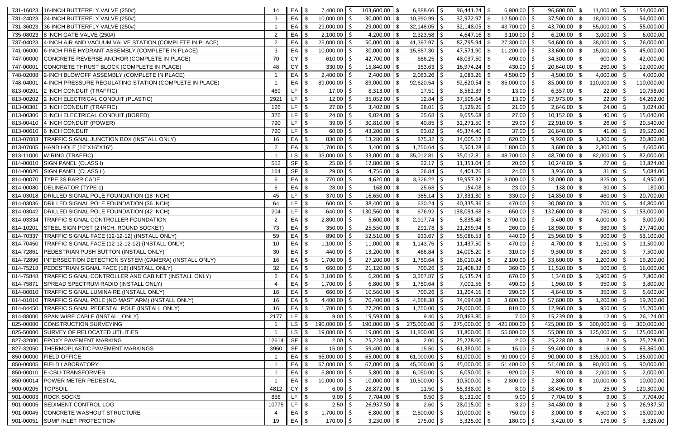|           | 731-16023 16-INCH BUTTERFLY VALVE (250#)                        | 14             | EA \$                                                             | $7,400.00$ \$        | 103,600.00       | $6,888.66$ \$<br>l \$   |      | $96,441.24$ \\$         | $6,900.00$ \$              |    | $96,600.00$ \ \$       | $11,000.00$   \$    | 154,000.00 |
|-----------|-----------------------------------------------------------------|----------------|-------------------------------------------------------------------|----------------------|------------------|-------------------------|------|-------------------------|----------------------------|----|------------------------|---------------------|------------|
|           | 731-24023 24-INCH BUTTERFLY VALVE (250#)                        | $\mathbf{3}$   | $EA$ $\sqrt$                                                      | $10,000.00$   \$     | 30,000.00        | $10,990.99$   \$<br>  S |      |                         | 12,500.00                  | -S | $37,500.00$ \ \$       | $18,000.00$   \$    | 54,000.00  |
| 731-36023 | 36-INCH BUTTERFLY VALVE (250#)                                  |                | $EA$ \$                                                           | $29,000.00$ \$       | 29,000.00        | 32,148.05<br>$\sqrt{3}$ |      |                         | 43,700.00 $\mid$ \$        |    | 43,700.00 \$           | $55,000.00$   \$    | 55,000.00  |
| 735-08023 | 8 INCH GATE VALVE (250#)                                        | $\overline{2}$ | EA                                                                | $2,100.00$ \$        | 4,200.00         | 2,323.58<br>- \$        |      | $4,647.16$ \\$          | $3,100.00$   \$            |    | $6,200.00$ \$          | 3,000.00            | 6,000.00   |
| 737-04023 | 4-INCH AIR AND VACUUM VALVE STATION (COMPLETE IN PLACE)         | $\overline{2}$ | EA                                                                | $25,000.00$ \$       | 50,000.00        | 41,397.97               |      | 82,795.94               | 27,300.00<br>-\$           |    | $54,600.00$ \ \$       | 38,000.00           | 76,000.00  |
| 741-06000 | 6-INCH FIRE HYDRANT ASSEMBLY (COMPLETE IN PLACE)                | $\mathbf{3}$   | EA                                                                | $10,000.00$ \$       | 30,000.00        | 15,857.30               |      | 47,571.90               | 11,200.00<br>$\sqrt[6]{2}$ |    | $33,600.00$ \$         | 15,000.00           | 45,000.00  |
| 747-00000 | CONCRETE REVERSE ANCHOR (COMPLETE IN PLACE)                     | 70             | <b>CY</b>                                                         | $610.00$ \$          | 42,700.00        | 686.25<br>- \$          |      | 48,037.50               | 490.00<br>\$               |    | $34,300.00$ \$         | 600.00              | 42,000.00  |
| 747-00001 | CONCRETE THRUST BLOCK (COMPLETE IN PLACE)                       | 48             | $CY$ $$$                                                          | $330.00$ \$          | 15,840.00        | 353.63<br>  \$          |      | $16,974.24$ \\$         | 430.00                     |    | $20,640.00$ \$         | $250.00$ \$         | 12,000.00  |
| 748-02008 | 2-INCH BLOWOFF ASSEMBLY (COMPLETE IN PLACE)                     |                | $EA$ $\sqrt$                                                      | $2,400.00$ \$        | $2,400.00$ \ \$  | 2,083.26                |      |                         | $4,500.00$   \$            |    | $4,500.00$ \ \$        | 4,000.00 $\vert$ \$ | 4,000.00   |
| 748-04001 | 4-INCH PRESSURE REGULATING STATION (COMPLETE IN PLACE)          |                | EA                                                                | 89,000.00 \$         | 89,000.00        | 92,620.54<br>- \$       |      | $92,620.54$ \\$         | $85,000.00$   \$           |    | $85,000.00$ \$         | 110,000.00          | 110,000.00 |
| 813-0020  | 2 INCH CONDUIT (TRAFFIC)                                        | 489            | $LF$ \ \$                                                         | $17.00$   \$         | $8,313.00$ \$    | 17.51                   |      |                         | 13.00                      |    | $6,357.00$ \\$         | 22.00               | 10,758.00  |
| 813-00202 | 2 INCH ELECTRICAL CONDUIT (PLASTIC)                             | 2921           | $LF$ $\frac{1}{3}$                                                | $12.00$   \$         | $35,052.00$ \$   | 12.84                   |      | 37,505.64               | 13.00<br>\$                |    | $37,973.00$ \$         | 22.00               | 64,262.00  |
| 813-00301 | 3 INCH CONDUIT (TRAFFIC)                                        | 126            | LF                                                                | $27.00$ \$           | 3,402.00         | 28.01<br><b>\$</b>      |      | 3,529.26                | 21.00<br>$\sqrt[6]{2}$     |    | $2,646.00$ \$          | 24.00               | 3,024.00   |
|           | 813-00306 3 INCH ELECTRICAL CONDUIT (BORED)                     | 376            | $LF$ $\sqrt{ }$                                                   | $24.00$   \$         | 9,024.00         | 25.68<br>l \$           |      | $9,655.68$ \ \$         | 27.00                      |    | $10,152.00$ \ \$       | 40.00               | 15,040.00  |
| 813-00410 | 4 INCH CONDUIT (POWER)                                          | 790            | LF $\sqrt{3}$                                                     | $39.00$ \$           | $30,810.00$ \$   | 40.85                   |      | $32,271.50$ \ \$        | 29.00                      |    | $22,910.00$ \ \$       | 26.00               | 20,540.00  |
|           | 813-00610 6 INCH CONDUIT                                        | 720            | $LF$ $\frac{1}{3}$                                                | $60.00$ \$           | 43,200.00        | 63.02<br>l \$           |      |                         | 37.00                      |    | $26,640.00$ \ \$       | 41.00               | 29,520.00  |
| 813-07003 | TRAFFIC SIGNAL JUNCTION BOX (INSTALL ONLY)                      | 16             | EA                                                                | $830.00$ \$          | $13,280.00$ \ \$ | $875.32$ $\frac{1}{2}$  |      | $14,005.12$ \\$         | 620.00                     |    | $9,920.00$ \$          | 1,300.00            | 20,800.00  |
| 813-07005 | HAND HOLE (16"X16"X16")                                         | $\overline{2}$ | EA                                                                | $1,700.00$ \$        | 3,400.00         | 1,750.64<br>- \$        |      |                         | 1,800.00                   |    | 3,600.00               | 2,300.00            | 4,600.00   |
|           | 813-11000 WIRING (TRAFFIC)                                      |                | LS                                                                | $33,000.00$ \$       | 33,000.00        | 35,012.81               |      | 35,012.81               | 48,700.00<br>-\$           |    | 48,700.00 \$           | 82,000.00           | 82,000.00  |
|           | 814-00010 SIGN PANEL (CLASS I)                                  | 512            | <b>SF</b>                                                         | $25.00$ \$           | 12,800.00        | 22.17<br>-\$            |      | $11,351.04$ \\$         | 20.00                      |    | $10,240.00$ \$         | 27.00               | 13,824.00  |
|           | 814-00020 SIGN PANEL (CLASS II)                                 | 164            | $SF$ \$                                                           | $29.00$   \$         | 4,756.00         | 26.84<br>- \$           |      | $4,401.76$ \\$          | 24.00                      |    | $3,936.00$ \$          | $31.00$   \$        | 5,084.00   |
|           | 814-00070 TYPE 3S BARRICADE                                     | -6             | $EA$ \$                                                           | 770.00 \$            | 4,620.00         | 3,326.22<br>  \$        |      |                         | 3,000.00                   |    | $18,000.00$ \ \$       | 825.00              | 4,950.00   |
|           | 814-00080 DELINEATOR (TYPE 1)                                   | 6              | $EA$ $\sqrt$                                                      | $28.00$   \$         | 168.00           | 25.68<br>  \$           |      |                         | 23.00                      |    | $138.00$ \ \$          | 30.00               | 180.00     |
|           | 814-03018 DRILLED SIGNAL POLE FOUNDATION (18 INCH)              | 45             | LF                                                                | $370.00$ \$          | 16,650.00        | 385.14<br>l \$          |      | $17,331.30$ \\$         | 330.00                     |    | $14,850.00$ \ \$       | 460.00              | 20,700.00  |
|           | 814-03036 DRILLED SIGNAL POLE FOUNDATION (36 INCH)              | 64             | LF                                                                | $600.00$ \$          | 38,400.00        | 630.24<br>$\sqrt{3}$    |      | $40,335.36$ \ \ \$      | 470.00                     |    | $30,080.00$ \$         | 700.00              | 44,800.00  |
|           | 814-03042 DRILLED SIGNAL POLE FOUNDATION (42 INCH)              | 204            | LF                                                                | $640.00$ \$          | 130,560.00       | 676.92<br>- \$          |      | 138,091.68   \$         | 650.00                     |    | 132,600.00 \$          | 750.00              | 153,000.00 |
| 814-03334 | TRAFFIC SIGNAL CONTROLLER FOUNDATION                            | $\overline{2}$ | EA \$                                                             | $2,800.00$ \$        | 5,600.00         | $2,917.74$ \$<br>  \$   |      | $5,835.48$ \ \ \$       | 2,700.00                   |    | $5,400.00$ \ \$        | 4,000.00            | 8,000.00   |
| 814-10201 | STEEL SIGN POST (2 INCH, ROUND SOCKET)                          | 73             | EA \$                                                             | $350.00$   \$        | $25,550.00$ \ \$ | 291.78                  |      | $21,299.94$ \\$         | 260.00                     | -S | $18,980.00$ \ \$       | 380.00              | 27,740.00  |
| 814-70337 | TRAFFIC SIGNAL FACE (12-12-12) (INSTALL ONLY)                   | 59             | EA                                                                | $890.00$ \$          | $52,510.00$ \ \$ | 933.67                  |      |                         | 440.00                     |    | $25,960.00$ \ \$       | 900.00              | 53,100.00  |
|           | 814-70450 TRAFFIC SIGNAL FACE (12-12-12-12) (INSTALL ONLY)      | 10             | EA                                                                | 1,100.00 \$          | 11,000.00        | 1,143.75                |      | $11,437.50$ \\$         | 470.00                     |    | 4,700.00 $\frac{1}{9}$ | 1,150.00            | 11,500.00  |
|           | 814-72861 PEDESTRIAN PUSH BUTTON (INSTALL ONLY)                 | 30             | EA S                                                              | $440.00$ \$          | $13,200.00$ \$   | $466.84$ \$             |      | $14,005.20$ \ \$        | $310.00$   \$              |    | $9,300.00$ \$          | $250.00$ \$         | 7,500.00   |
|           | 814-72896 INTERSECTION DETECTION SYSTEM (CAMERA) (INSTALL ONLY) | 16             | EA                                                                | $1,700.00$ \$        | 27,200.00        | 1,750.64<br>- \$        | l \$ | 28,010.24               | \$<br>2,100.00             |    | $33,600.00$ \$         | 1,200.00            | 19,200.00  |
| 814-75218 | PEDESTRIAN SIGNAL FACE (18) (INSTALL ONLY)                      | 32             | $EA$ \$                                                           | $660.00$ \$          | 21,120.00        | 700.26<br>  \$          |      |                         | 360.00                     |    | $11,520.00$ \ \$       | $500.00$ \$         | 16,000.00  |
| 814-75848 | TRAFFIC SIGNAL CONTROLLER AND CABINET (INSTALL ONLY)            | $\overline{2}$ | EA                                                                | $3,100.00$ \$        | $6,200.00$ \ \$  | $3,267.87$ \$           |      | $6,535.74$ \\$          | 670.00 $\vert$ \$          |    | $1,340.00$ \ \$        | $3,900.00$ \$       | 7,800.00   |
| 814-75871 | SPREAD SPECTRUM RADIO (INSTALL ONLY)                            |                | $EA$ $\sqrt$                                                      | $1,700.00$ \$        | $6,800.00$ \$    | $1,750.64$   \$         |      | $7,002.56$ \$           | 490.00 $\vert$ \$          |    | $1,960.00$ \$          | 950.00              | 3,800.00   |
| 814-80010 | TRAFFIC SIGNAL LUMINAIRE (INSTALL ONLY)                         | 16             | EA                                                                | 660.00 \$            | $10,560.00$ \\$  | 700.26                  |      | $11,204.16$ \\$         | 290.00                     |    | $4,640.00$ \\$         | 350.00              | 5,600.00   |
| 814-81010 | TRAFFIC SIGNAL POLE (NO MAST ARM) (INSTALL ONLY)                | 16             | EA                                                                | 4,400.00 $\vert$ \$  | 70,400.00        | 4,668.38<br>- \$        |      | 74,694.08 \$            | 3,600.00                   |    | $57,600.00$ \$         | 1,200.00            | 19,200.00  |
| 814-84450 | TRAFFIC SIGNAL PEDESTAL POLE (INSTALL ONLY)                     | 16             | EA                                                                | $1,700.00$   \$      | 27,200.00        | 1,750.00                |      | 28,000.00               | -\$<br>810.00              |    | $12,960.00$ \ \$       | 950.00              | 15,200.00  |
| 814-88000 | SPAN WIRE CABLE (INSTALL ONLY)                                  | 2177           | LF $\sqrt{3}$                                                     | $9.00$   \$          | 19,593.00        | 9.40<br>∣\$             |      |                         | 7.00                       |    | $15,239.00$ \$         | $12.00$   \$        | 26,124.00  |
| 825-00000 | <b>CONSTRUCTION SURVEYING</b>                                   |                | $LS$ $\sqrt{ }$                                                   | 190,000.00 \$        | 190,000.00       | 275,000.00<br>\$        |      | $275,000.00$ \ \$       | 425,000.00                 | -S | 425,000.00 \$          | 300,000.00          | 300,000.00 |
| 825-50000 | SURVEY OF RELOCATED UTILITIES                                   |                | LS                                                                | $19,000.00$   \$     | 19,000.00        | 11,800.00               |      | 11,800.00               | -\$<br>55,000.00           |    | $55,000.00$ \ \$       | 125,000.00          | 125,000.00 |
| 827-32000 | <b>EPOXY PAVEMENT MARKING</b>                                   | 12614          | $SF$ \$                                                           | $2.00$   \$          | $25,228.00$ \$   | 2.00                    |      | $25,228.00$ \ \$        | 2.00                       |    | $25,228.00$ \$         | 2.00                | 25,228.00  |
| 827-32050 | THERMOPLASTIC PAVEMENT MARKINGS                                 | 3960           | $\overline{\text{S}}$ $\overline{\text{S}}$ $\overline{\text{S}}$ | $15.00$   \$         | $59,400.00$ \ \$ | 15.50                   |      | 61,380.00               | \$<br>15.00                |    | $59,400.00$ \ \$       | 16.00               | 63,360.00  |
| 850-00000 | <b>FIELD OFFICE</b>                                             |                | EA                                                                | $65,000.00$ \$       | 65,000.00        | 61,000.00               |      | 61,000.00               | 90,000.00<br>-\$           |    | $90,000.00$ \$         | 135,000.00          | 135,000.00 |
|           | 850-00005 FIELD LABORATORY                                      |                | $EA$ $\sqrt$                                                      | 67,000.00 $\vert$ \$ | 67,000.00        | 45,000.00               |      | 45,000.00 $\frac{1}{3}$ | 51,400.00                  |    | $51,400.00$ \ \$       | 90,000.00           | 90,000.00  |
|           | 850-00010 E-CSU-TRANSFORMER                                     |                | $EA$ $\sqrt$                                                      | $5,800.00$ \$        | 5,800.00         | $6,050.00$ \$<br>l \$   |      | $6,050.00$ \ \$         | 920.00                     | -Ś | $920.00$ \ \$          | $2,000.00$ \$       | 2,000.00   |
| 850-00014 | <b>POWER METER PEDESTAL</b>                                     |                | $EA$ $\sqrt$                                                      | $10,000.00$ \$       | 10,000.00        | 10,500.00<br>$\sqrt{3}$ |      | $10,500.00$ \ \$        | 2,800.00                   | -S | $2,800.00$ \$          | 10,000.00           | 10,000.00  |
| 900-00205 | <b>TOPSOIL</b>                                                  | 4812           | <b>CY</b>                                                         | $6.00$   \$          | $28,872.00$ \ \$ | 11.50                   |      | $55,338.00$   \$        | 8.00                       |    | $38,496.00$ \ \$       | 25.00               | 120,300.00 |
| 901-00003 | <b>ROCK SOCKS</b>                                               | 856            | LF                                                                | $9.00$   \$          | $7,704.00$ \$    | 9.50                    |      |                         | 9.00                       |    | $7,704.00$ \$          | 9.00                | 7,704.00   |
| 901-00005 | <b>SEDIMENT CONTROL LOG</b>                                     | 10775          | LF $\sqrt{ }$                                                     | $2.50$   \$          | $26,937.50$ \$   | 2.60                    |      | 28,015.00               | \$<br>3.20                 |    | $34,480.00$ \$         | 2.50                | 26,937.50  |
|           | 901-00045 CONCRETE WASHOUT STRUCTURE                            |                | EA                                                                | $1,700.00$ \$        | 6,800.00         | 2,500.00                |      | $10,000.00$ \$          | 750.00                     |    | $3,000.00$ \$          | 4,500.00            | 18,000.00  |
|           | 901-00051 SUMP INLET PROTECTION                                 | 19             | EA \$                                                             | $170.00$   \$        | 3,230.00         | 175.00<br>∣\$           |      | $3,325.00$ \ \$         | $180.00$   \$              |    | $3,420.00$ \$          | $175.00$   \$       | 3,325.00   |